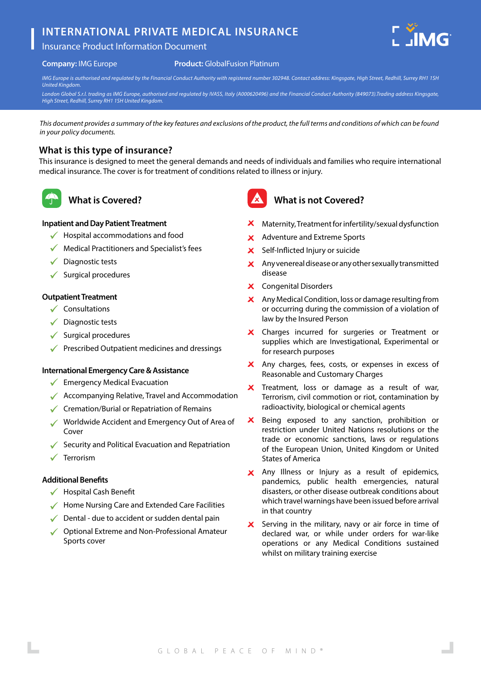# **INTERNATIONAL PRIVATE MEDICAL INSURANCE**



### **Company:** IMG Europe

#### **Product:** GlobalFusion Platinum

*IMG Europe is authorised and regulated by the Financial Conduct Authority with registered number 302948. Contact address: Kingsgate, High Street, Redhill, Surrey RH1 1SH United Kingdom.*

*London Global S.r.l. trading as IMG Europe, authorised and regulated by IVASS, Italy (A000620496) and the Financial Conduct Authority (849073).Trading address Kingsgate, High Street, Redhill, Surrey RH1 1SH United Kingdom.* 

*This document provides a summary of the key features and exclusions of the product, the full terms and conditions of which can be found in your policy documents.*

## **What is this type of insurance?**

This insurance is designed to meet the general demands and needs of individuals and families who require international medical insurance. The cover is for treatment of conditions related to illness or injury.



# **What is Covered?**

## **Inpatient and Day Patient Treatment**

- $\checkmark$  Hospital accommodations and food
- $\sqrt{\phantom{a}}$  Medical Practitioners and Specialist's fees
- $\sqrt{\phantom{a}}$  Diagnostic tests
- $\checkmark$  Surgical procedures

### **Outpatient Treatment**

- $\checkmark$  Consultations
- $\sqrt{\phantom{a}}$  Diagnostic tests
- $\checkmark$  Surgical procedures
- $\sqrt{\phantom{a}}$  Prescribed Outpatient medicines and dressings

### **International Emergency Care & Assistance**

- $\checkmark$  Emergency Medical Evacuation
- $\sqrt{\phantom{a}}$  Accompanying Relative, Travel and Accommodation
- ◆ Cremation/Burial or Repatriation of Remains
- Worldwide Accident and Emergency Out of Area of Cover
- Security and Political Evacuation and Repatriation
- $\checkmark$ Terrorism

### **Additional Benefits**

- $\checkmark$  Hospital Cash Benefit
- Home Nursing Care and Extended Care Facilities
- $\sqrt{\phantom{a}}$  Dental due to accident or sudden dental pain
- ◆ Optional Extreme and Non-Professional Amateur Sports cover



## **What is not Covered?**

- $\boldsymbol{\times}$  Maternity, Treatment for infertility/sexual dysfunction
- X Adventure and Extreme Sports
- $\mathbf{x}$ Self-Inflicted Injury or suicide
- $\boldsymbol{\times}$  Any venereal disease or any other sexually transmitted disease
- X Congenital Disorders
- Any Medical Condition, loss or damage resulting from or occurring during the commission of a violation of law by the Insured Person
- X Charges incurred for surgeries or Treatment or supplies which are Investigational, Experimental or for research purposes
- X Any charges, fees, costs, or expenses in excess of Reasonable and Customary Charges
- X Treatment, loss or damage as a result of war, Terrorism, civil commotion or riot, contamination by radioactivity, biological or chemical agents
- $\boldsymbol{\mathsf{x}}$ Being exposed to any sanction, prohibition or restriction under United Nations resolutions or the trade or economic sanctions, laws or regulations of the European Union, United Kingdom or United States of America
- X Any Illness or Injury as a result of epidemics, pandemics, public health emergencies, natural disasters, or other disease outbreak conditions about which travel warnings have been issued before arrival in that country
- Serving in the military, navy or air force in time of  $\mathsf{x}$ declared war, or while under orders for war-like operations or any Medical Conditions sustained whilst on military training exercise